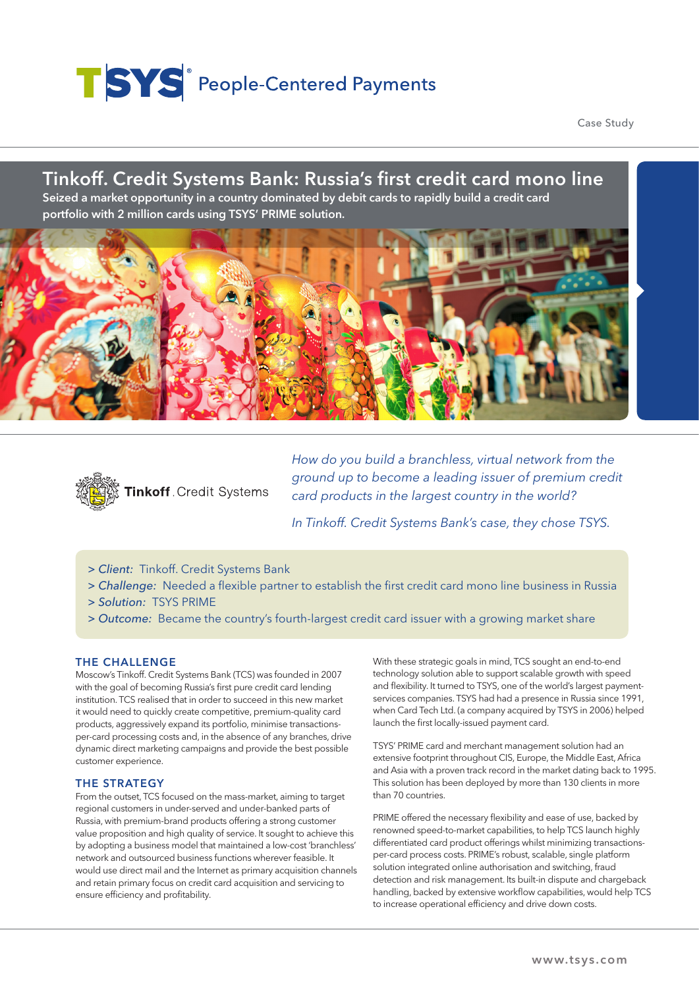# TSYS<sup>®</sup> People-Centered Payments

Case Study

## Tinkoff. Credit Systems Bank: Russia's first credit card mono line Seized a market opportunity in a country dominated by debit cards to rapidly build a credit card portfolio with 2 million cards using TSYS' PRIME solution.





*How do you build a branchless, virtual network from the ground up to become a leading issuer of premium credit card products in the largest country in the world?*

*In Tinkoff. Credit Systems Bank's case, they chose TSYS.*

- *> Client:* Tinkoff. Credit Systems Bank
- *> Challenge:* Needed a flexible partner to establish the first credit card mono line business in Russia
- *> Solution:* TSYS PRIME
- *> Outcome:* Became the country's fourth-largest credit card issuer with a growing market share

#### THE CHALLENGE

Moscow's Tinkoff. Credit Systems Bank (TCS) was founded in 2007 with the goal of becoming Russia's first pure credit card lending institution. TCS realised that in order to succeed in this new market it would need to quickly create competitive, premium-quality card products, aggressively expand its portfolio, minimise transactionsper-card processing costs and, in the absence of any branches, drive dynamic direct marketing campaigns and provide the best possible customer experience.

#### THE STRATEGY

From the outset, TCS focused on the mass-market, aiming to target regional customers in under-served and under-banked parts of Russia, with premium-brand products offering a strong customer value proposition and high quality of service. It sought to achieve this by adopting a business model that maintained a low-cost 'branchless' network and outsourced business functions wherever feasible. It would use direct mail and the Internet as primary acquisition channels and retain primary focus on credit card acquisition and servicing to ensure efficiency and profitability.

With these strategic goals in mind, TCS sought an end-to-end technology solution able to support scalable growth with speed and flexibility. It turned to TSYS, one of the world's largest paymentservices companies. TSYS had had a presence in Russia since 1991, when Card Tech Ltd. (a company acquired by TSYS in 2006) helped launch the first locally-issued payment card.

TSYS' PRIME card and merchant management solution had an extensive footprint throughout CIS, Europe, the Middle East, Africa and Asia with a proven track record in the market dating back to 1995. This solution has been deployed by more than 130 clients in more than 70 countries.

PRIME offered the necessary flexibility and ease of use, backed by renowned speed-to-market capabilities, to help TCS launch highly differentiated card product offerings whilst minimizing transactionsper-card process costs. PRIME's robust, scalable, single platform solution integrated online authorisation and switching, fraud detection and risk management. Its built-in dispute and chargeback handling, backed by extensive workflow capabilities, would help TCS to increase operational efficiency and drive down costs.